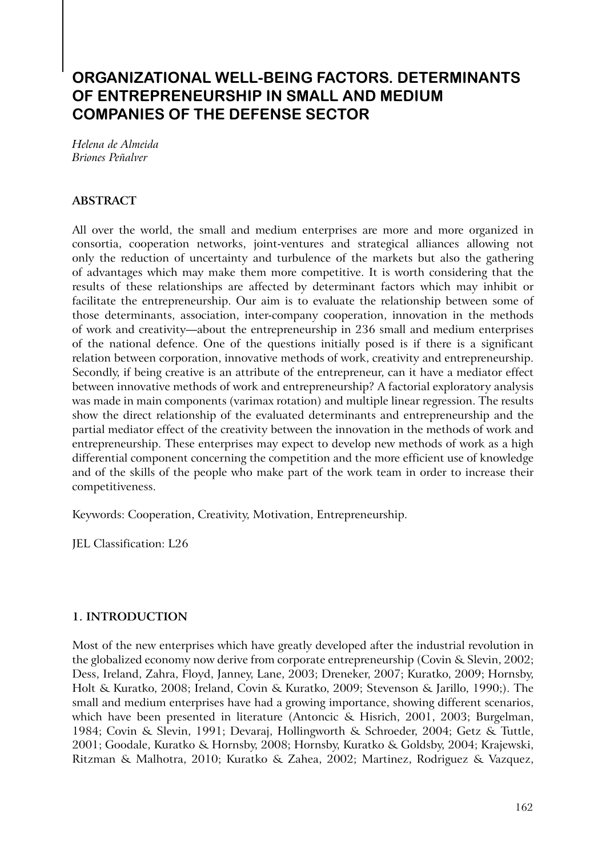# **Organizational Well-Being Factors. Determinants of Entrepreneurship in Small and Medium Companies of the Defense Sector**

*Helena de Almeida Briones Peñalver* 

## **ABSTRACT**

All over the world, the small and medium enterprises are more and more organized in consortia, cooperation networks, joint-ventures and strategical alliances allowing not only the reduction of uncertainty and turbulence of the markets but also the gathering of advantages which may make them more competitive. It is worth considering that the results of these relationships are affected by determinant factors which may inhibit or facilitate the entrepreneurship. Our aim is to evaluate the relationship between some of those determinants, association, inter-company cooperation, innovation in the methods of work and creativity—about the entrepreneurship in 236 small and medium enterprises of the national defence. One of the questions initially posed is if there is a significant relation between corporation, innovative methods of work, creativity and entrepreneurship. Secondly, if being creative is an attribute of the entrepreneur, can it have a mediator effect between innovative methods of work and entrepreneurship? A factorial exploratory analysis was made in main components (varimax rotation) and multiple linear regression. The results show the direct relationship of the evaluated determinants and entrepreneurship and the partial mediator effect of the creativity between the innovation in the methods of work and entrepreneurship. These enterprises may expect to develop new methods of work as a high differential component concerning the competition and the more efficient use of knowledge and of the skills of the people who make part of the work team in order to increase their competitiveness.

Keywords: Cooperation, Creativity, Motivation, Entrepreneurship.

JEL Classification: L26

## **1. INTRODUCTION**

Most of the new enterprises which have greatly developed after the industrial revolution in the globalized economy now derive from corporate entrepreneurship (Covin & Slevin, 2002; Dess, Ireland, Zahra, Floyd, Janney, Lane, 2003; Dreneker, 2007; Kuratko, 2009; Hornsby, Holt & Kuratko, 2008; Ireland, Covin & Kuratko, 2009; Stevenson & Jarillo, 1990;). The small and medium enterprises have had a growing importance, showing different scenarios, which have been presented in literature (Antoncic & Hisrich, 2001, 2003; Burgelman, 1984; Covin & Slevin, 1991; Devaraj, Hollingworth & Schroeder, 2004; Getz & Tuttle, 2001; Goodale, Kuratko & Hornsby, 2008; Hornsby, Kuratko & Goldsby, 2004; Krajewski, Ritzman & Malhotra, 2010; Kuratko & Zahea, 2002; Martinez, Rodriguez & Vazquez,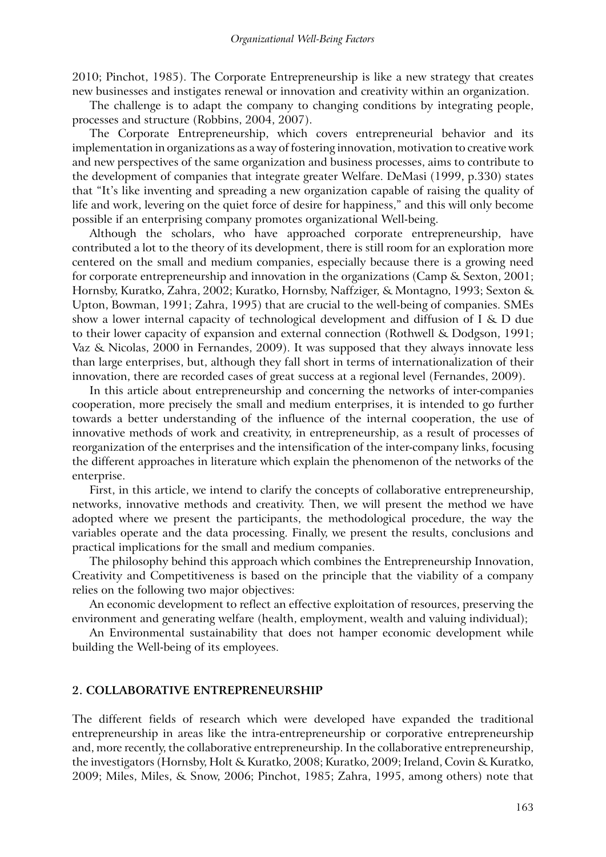2010; Pinchot, 1985). The Corporate Entrepreneurship is like a new strategy that creates new businesses and instigates renewal or innovation and creativity within an organization.

The challenge is to adapt the company to changing conditions by integrating people, processes and structure (Robbins, 2004, 2007).

The Corporate Entrepreneurship, which covers entrepreneurial behavior and its implementation in organizations as a way of fostering innovation, motivation to creative work and new perspectives of the same organization and business processes, aims to contribute to the development of companies that integrate greater Welfare. DeMasi (1999, p.330) states that "It's like inventing and spreading a new organization capable of raising the quality of life and work, levering on the quiet force of desire for happiness," and this will only become possible if an enterprising company promotes organizational Well-being.

Although the scholars, who have approached corporate entrepreneurship, have contributed a lot to the theory of its development, there is still room for an exploration more centered on the small and medium companies, especially because there is a growing need for corporate entrepreneurship and innovation in the organizations (Camp & Sexton, 2001; Hornsby, Kuratko, Zahra, 2002; Kuratko, Hornsby, Naffziger, & Montagno, 1993; Sexton & Upton, Bowman, 1991; Zahra, 1995) that are crucial to the well-being of companies. SMEs show a lower internal capacity of technological development and diffusion of I & D due to their lower capacity of expansion and external connection (Rothwell & Dodgson, 1991; Vaz & Nicolas, 2000 in Fernandes, 2009). It was supposed that they always innovate less than large enterprises, but, although they fall short in terms of internationalization of their innovation, there are recorded cases of great success at a regional level (Fernandes, 2009).

In this article about entrepreneurship and concerning the networks of inter-companies cooperation, more precisely the small and medium enterprises, it is intended to go further towards a better understanding of the influence of the internal cooperation, the use of innovative methods of work and creativity, in entrepreneurship, as a result of processes of reorganization of the enterprises and the intensification of the inter-company links, focusing the different approaches in literature which explain the phenomenon of the networks of the enterprise.

First, in this article, we intend to clarify the concepts of collaborative entrepreneurship, networks, innovative methods and creativity. Then, we will present the method we have adopted where we present the participants, the methodological procedure, the way the variables operate and the data processing. Finally, we present the results, conclusions and practical implications for the small and medium companies.

The philosophy behind this approach which combines the Entrepreneurship Innovation, Creativity and Competitiveness is based on the principle that the viability of a company relies on the following two major objectives:

An economic development to reflect an effective exploitation of resources, preserving the environment and generating welfare (health, employment, wealth and valuing individual);

An Environmental sustainability that does not hamper economic development while building the Well-being of its employees.

#### **2. COLLABORATIVE ENTREPRENEURSHIP**

The different fields of research which were developed have expanded the traditional entrepreneurship in areas like the intra-entrepreneurship or corporative entrepreneurship and, more recently, the collaborative entrepreneurship. In the collaborative entrepreneurship, the investigators (Hornsby, Holt & Kuratko, 2008; Kuratko, 2009; Ireland, Covin & Kuratko, 2009; Miles, Miles, & Snow, 2006; Pinchot, 1985; Zahra, 1995, among others) note that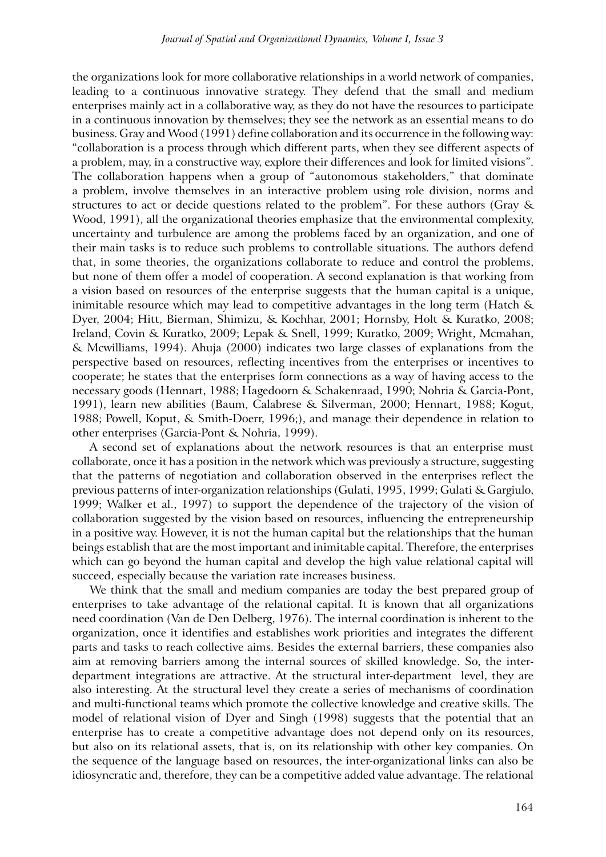the organizations look for more collaborative relationships in a world network of companies, leading to a continuous innovative strategy. They defend that the small and medium enterprises mainly act in a collaborative way, as they do not have the resources to participate in a continuous innovation by themselves; they see the network as an essential means to do business. Gray and Wood (1991) define collaboration and its occurrence in the following way: "collaboration is a process through which different parts, when they see different aspects of a problem, may, in a constructive way, explore their differences and look for limited visions". The collaboration happens when a group of "autonomous stakeholders," that dominate a problem, involve themselves in an interactive problem using role division, norms and structures to act or decide questions related to the problem". For these authors (Gray & Wood, 1991), all the organizational theories emphasize that the environmental complexity, uncertainty and turbulence are among the problems faced by an organization, and one of their main tasks is to reduce such problems to controllable situations. The authors defend that, in some theories, the organizations collaborate to reduce and control the problems, but none of them offer a model of cooperation. A second explanation is that working from a vision based on resources of the enterprise suggests that the human capital is a unique, inimitable resource which may lead to competitive advantages in the long term (Hatch & Dyer, 2004; Hitt, Bierman, Shimizu, & Kochhar, 2001; Hornsby, Holt & Kuratko, 2008; Ireland, Covin & Kuratko, 2009; Lepak & Snell, 1999; Kuratko, 2009; Wright, Mcmahan, & Mcwilliams, 1994). Ahuja (2000) indicates two large classes of explanations from the perspective based on resources, reflecting incentives from the enterprises or incentives to cooperate; he states that the enterprises form connections as a way of having access to the necessary goods (Hennart, 1988; Hagedoorn & Schakenraad, 1990; Nohria & Garcia-Pont, 1991), learn new abilities (Baum, Calabrese & Silverman, 2000; Hennart, 1988; Kogut, 1988; Powell, Koput, & Smith-Doerr, 1996;), and manage their dependence in relation to other enterprises (Garcia-Pont & Nohria, 1999).

A second set of explanations about the network resources is that an enterprise must collaborate, once it has a position in the network which was previously a structure, suggesting that the patterns of negotiation and collaboration observed in the enterprises reflect the previous patterns of inter-organization relationships (Gulati, 1995, 1999; Gulati & Gargiulo, 1999; Walker et al., 1997) to support the dependence of the trajectory of the vision of collaboration suggested by the vision based on resources, influencing the entrepreneurship in a positive way. However, it is not the human capital but the relationships that the human beings establish that are the most important and inimitable capital. Therefore, the enterprises which can go beyond the human capital and develop the high value relational capital will succeed, especially because the variation rate increases business.

We think that the small and medium companies are today the best prepared group of enterprises to take advantage of the relational capital. It is known that all organizations need coordination (Van de Den Delberg, 1976). The internal coordination is inherent to the organization, once it identifies and establishes work priorities and integrates the different parts and tasks to reach collective aims. Besides the external barriers, these companies also aim at removing barriers among the internal sources of skilled knowledge. So, the interdepartment integrations are attractive. At the structural inter-department level, they are also interesting. At the structural level they create a series of mechanisms of coordination and multi-functional teams which promote the collective knowledge and creative skills. The model of relational vision of Dyer and Singh (1998) suggests that the potential that an enterprise has to create a competitive advantage does not depend only on its resources, but also on its relational assets, that is, on its relationship with other key companies. On the sequence of the language based on resources, the inter-organizational links can also be idiosyncratic and, therefore, they can be a competitive added value advantage. The relational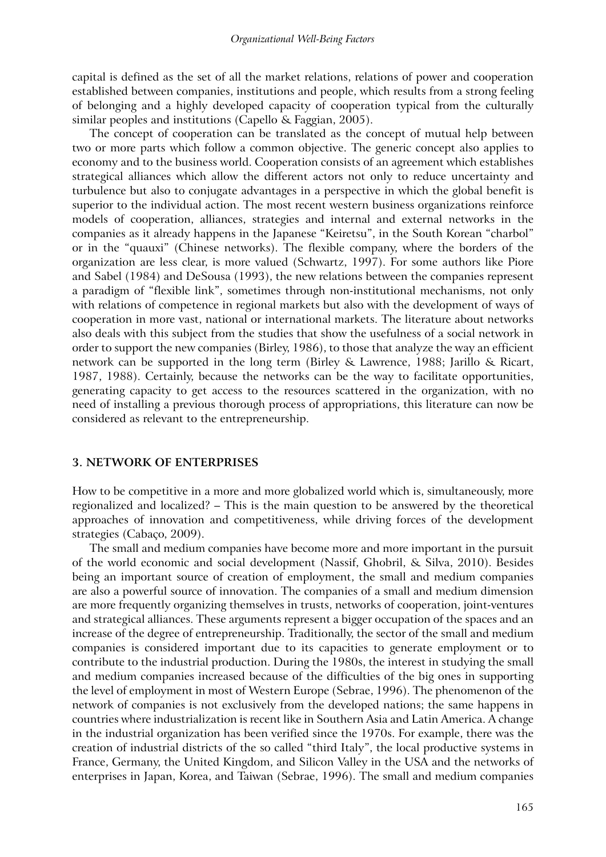capital is defined as the set of all the market relations, relations of power and cooperation established between companies, institutions and people, which results from a strong feeling of belonging and a highly developed capacity of cooperation typical from the culturally similar peoples and institutions (Capello & Faggian, 2005).

The concept of cooperation can be translated as the concept of mutual help between two or more parts which follow a common objective. The generic concept also applies to economy and to the business world. Cooperation consists of an agreement which establishes strategical alliances which allow the different actors not only to reduce uncertainty and turbulence but also to conjugate advantages in a perspective in which the global benefit is superior to the individual action. The most recent western business organizations reinforce models of cooperation, alliances, strategies and internal and external networks in the companies as it already happens in the Japanese "Keiretsu", in the South Korean "charbol" or in the "quauxi" (Chinese networks). The flexible company, where the borders of the organization are less clear, is more valued (Schwartz, 1997). For some authors like Piore and Sabel (1984) and DeSousa (1993), the new relations between the companies represent a paradigm of "flexible link", sometimes through non-institutional mechanisms, not only with relations of competence in regional markets but also with the development of ways of cooperation in more vast, national or international markets. The literature about networks also deals with this subject from the studies that show the usefulness of a social network in order to support the new companies (Birley, 1986), to those that analyze the way an efficient network can be supported in the long term (Birley & Lawrence, 1988; Jarillo & Ricart, 1987, 1988). Certainly, because the networks can be the way to facilitate opportunities, generating capacity to get access to the resources scattered in the organization, with no need of installing a previous thorough process of appropriations, this literature can now be considered as relevant to the entrepreneurship.

## **3. NETWORK OF ENTERPRISES**

How to be competitive in a more and more globalized world which is, simultaneously, more regionalized and localized? – This is the main question to be answered by the theoretical approaches of innovation and competitiveness, while driving forces of the development strategies (Cabaço, 2009).

The small and medium companies have become more and more important in the pursuit of the world economic and social development (Nassif, Ghobril, & Silva, 2010). Besides being an important source of creation of employment, the small and medium companies are also a powerful source of innovation. The companies of a small and medium dimension are more frequently organizing themselves in trusts, networks of cooperation, joint-ventures and strategical alliances. These arguments represent a bigger occupation of the spaces and an increase of the degree of entrepreneurship. Traditionally, the sector of the small and medium companies is considered important due to its capacities to generate employment or to contribute to the industrial production. During the 1980s, the interest in studying the small and medium companies increased because of the difficulties of the big ones in supporting the level of employment in most of Western Europe (Sebrae, 1996). The phenomenon of the network of companies is not exclusively from the developed nations; the same happens in countries where industrialization is recent like in Southern Asia and Latin America. A change in the industrial organization has been verified since the 1970s. For example, there was the creation of industrial districts of the so called "third Italy", the local productive systems in France, Germany, the United Kingdom, and Silicon Valley in the USA and the networks of enterprises in Japan, Korea, and Taiwan (Sebrae, 1996). The small and medium companies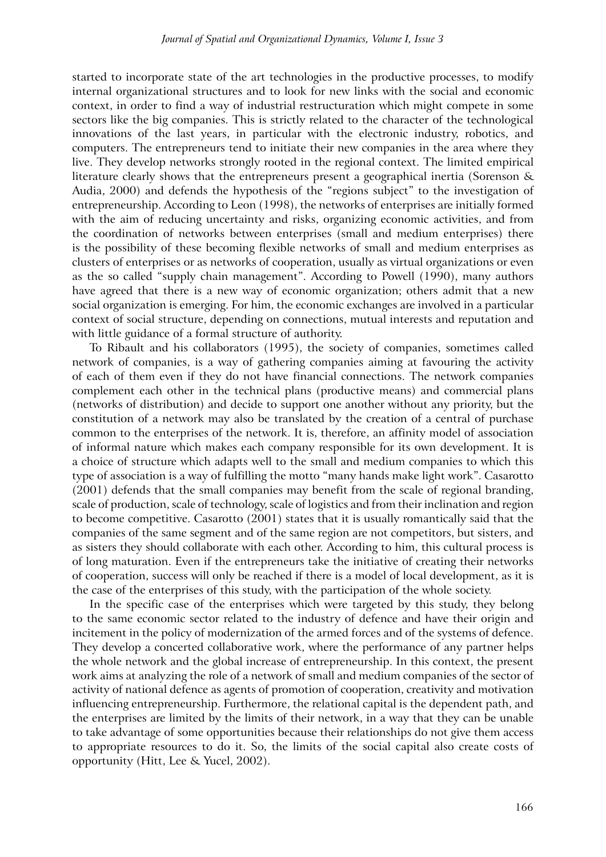started to incorporate state of the art technologies in the productive processes, to modify internal organizational structures and to look for new links with the social and economic context, in order to find a way of industrial restructuration which might compete in some sectors like the big companies. This is strictly related to the character of the technological innovations of the last years, in particular with the electronic industry, robotics, and computers. The entrepreneurs tend to initiate their new companies in the area where they live. They develop networks strongly rooted in the regional context. The limited empirical literature clearly shows that the entrepreneurs present a geographical inertia (Sorenson & Audia, 2000) and defends the hypothesis of the "regions subject" to the investigation of entrepreneurship. According to Leon (1998), the networks of enterprises are initially formed with the aim of reducing uncertainty and risks, organizing economic activities, and from the coordination of networks between enterprises (small and medium enterprises) there is the possibility of these becoming flexible networks of small and medium enterprises as clusters of enterprises or as networks of cooperation, usually as virtual organizations or even as the so called "supply chain management". According to Powell (1990), many authors have agreed that there is a new way of economic organization; others admit that a new social organization is emerging. For him, the economic exchanges are involved in a particular context of social structure, depending on connections, mutual interests and reputation and with little guidance of a formal structure of authority.

To Ribault and his collaborators (1995), the society of companies, sometimes called network of companies, is a way of gathering companies aiming at favouring the activity of each of them even if they do not have financial connections. The network companies complement each other in the technical plans (productive means) and commercial plans (networks of distribution) and decide to support one another without any priority, but the constitution of a network may also be translated by the creation of a central of purchase common to the enterprises of the network. It is, therefore, an affinity model of association of informal nature which makes each company responsible for its own development. It is a choice of structure which adapts well to the small and medium companies to which this type of association is a way of fulfilling the motto "many hands make light work". Casarotto (2001) defends that the small companies may benefit from the scale of regional branding, scale of production, scale of technology, scale of logistics and from their inclination and region to become competitive. Casarotto (2001) states that it is usually romantically said that the companies of the same segment and of the same region are not competitors, but sisters, and as sisters they should collaborate with each other. According to him, this cultural process is of long maturation. Even if the entrepreneurs take the initiative of creating their networks of cooperation, success will only be reached if there is a model of local development, as it is the case of the enterprises of this study, with the participation of the whole society.

In the specific case of the enterprises which were targeted by this study, they belong to the same economic sector related to the industry of defence and have their origin and incitement in the policy of modernization of the armed forces and of the systems of defence. They develop a concerted collaborative work, where the performance of any partner helps the whole network and the global increase of entrepreneurship. In this context, the present work aims at analyzing the role of a network of small and medium companies of the sector of activity of national defence as agents of promotion of cooperation, creativity and motivation influencing entrepreneurship. Furthermore, the relational capital is the dependent path, and the enterprises are limited by the limits of their network, in a way that they can be unable to take advantage of some opportunities because their relationships do not give them access to appropriate resources to do it. So, the limits of the social capital also create costs of opportunity (Hitt, Lee & Yucel, 2002).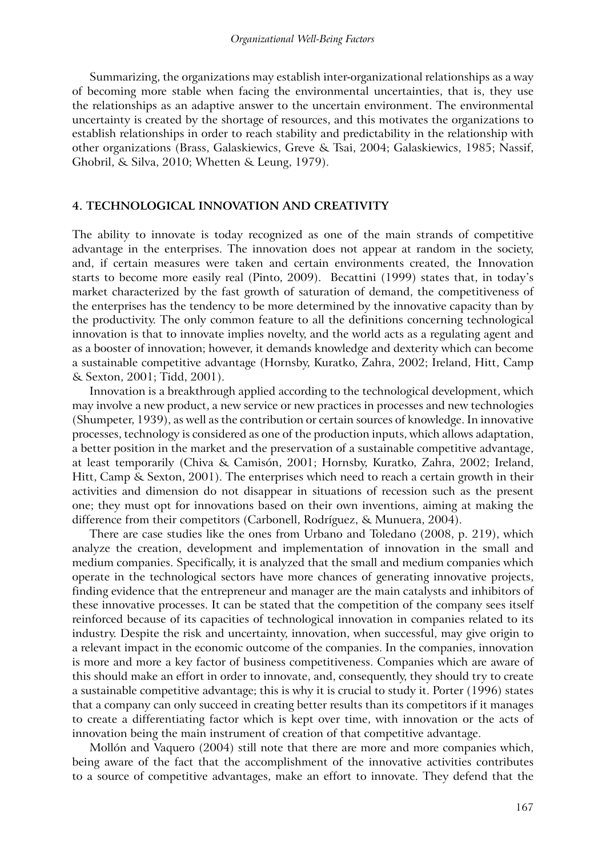Summarizing, the organizations may establish inter-organizational relationships as a way of becoming more stable when facing the environmental uncertainties, that is, they use the relationships as an adaptive answer to the uncertain environment. The environmental uncertainty is created by the shortage of resources, and this motivates the organizations to establish relationships in order to reach stability and predictability in the relationship with other organizations (Brass, Galaskiewics, Greve & Tsai, 2004; Galaskiewics, 1985; Nassif, Ghobril, & Silva, 2010; Whetten & Leung, 1979).

#### **4. TECHNOLOGICAL INNOVATION AND CREATIVITY**

The ability to innovate is today recognized as one of the main strands of competitive advantage in the enterprises. The innovation does not appear at random in the society, and, if certain measures were taken and certain environments created, the Innovation starts to become more easily real (Pinto, 2009). Becattini (1999) states that, in today's market characterized by the fast growth of saturation of demand, the competitiveness of the enterprises has the tendency to be more determined by the innovative capacity than by the productivity. The only common feature to all the definitions concerning technological innovation is that to innovate implies novelty, and the world acts as a regulating agent and as a booster of innovation; however, it demands knowledge and dexterity which can become a sustainable competitive advantage (Hornsby, Kuratko, Zahra, 2002; Ireland, Hitt, Camp & Sexton, 2001; Tidd, 2001).

Innovation is a breakthrough applied according to the technological development, which may involve a new product, a new service or new practices in processes and new technologies (Shumpeter, 1939), as well as the contribution or certain sources of knowledge. In innovative processes, technology is considered as one of the production inputs, which allows adaptation, a better position in the market and the preservation of a sustainable competitive advantage, at least temporarily (Chiva & Camisón, 2001; Hornsby, Kuratko, Zahra, 2002; Ireland, Hitt, Camp & Sexton, 2001). The enterprises which need to reach a certain growth in their activities and dimension do not disappear in situations of recession such as the present one; they must opt for innovations based on their own inventions, aiming at making the difference from their competitors (Carbonell, Rodríguez, & Munuera, 2004).

There are case studies like the ones from Urbano and Toledano (2008, p. 219), which analyze the creation, development and implementation of innovation in the small and medium companies. Specifically, it is analyzed that the small and medium companies which operate in the technological sectors have more chances of generating innovative projects, finding evidence that the entrepreneur and manager are the main catalysts and inhibitors of these innovative processes. It can be stated that the competition of the company sees itself reinforced because of its capacities of technological innovation in companies related to its industry. Despite the risk and uncertainty, innovation, when successful, may give origin to a relevant impact in the economic outcome of the companies. In the companies, innovation is more and more a key factor of business competitiveness. Companies which are aware of this should make an effort in order to innovate, and, consequently, they should try to create a sustainable competitive advantage; this is why it is crucial to study it. Porter (1996) states that a company can only succeed in creating better results than its competitors if it manages to create a differentiating factor which is kept over time, with innovation or the acts of innovation being the main instrument of creation of that competitive advantage.

Mollón and Vaquero (2004) still note that there are more and more companies which, being aware of the fact that the accomplishment of the innovative activities contributes to a source of competitive advantages, make an effort to innovate. They defend that the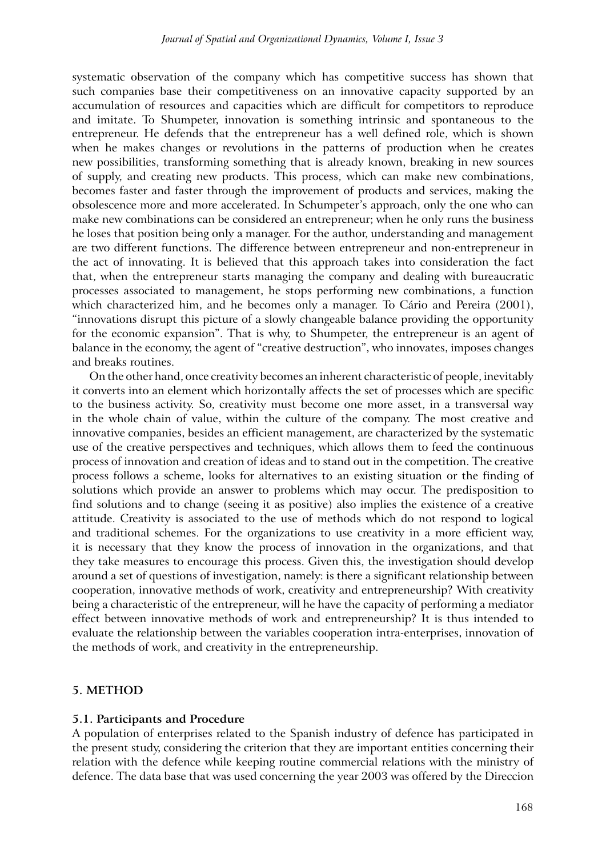systematic observation of the company which has competitive success has shown that such companies base their competitiveness on an innovative capacity supported by an accumulation of resources and capacities which are difficult for competitors to reproduce and imitate. To Shumpeter, innovation is something intrinsic and spontaneous to the entrepreneur. He defends that the entrepreneur has a well defined role, which is shown when he makes changes or revolutions in the patterns of production when he creates new possibilities, transforming something that is already known, breaking in new sources of supply, and creating new products. This process, which can make new combinations, becomes faster and faster through the improvement of products and services, making the obsolescence more and more accelerated. In Schumpeter's approach, only the one who can make new combinations can be considered an entrepreneur; when he only runs the business he loses that position being only a manager. For the author, understanding and management are two different functions. The difference between entrepreneur and non-entrepreneur in the act of innovating. It is believed that this approach takes into consideration the fact that, when the entrepreneur starts managing the company and dealing with bureaucratic processes associated to management, he stops performing new combinations, a function which characterized him, and he becomes only a manager. To Cário and Pereira (2001), "innovations disrupt this picture of a slowly changeable balance providing the opportunity for the economic expansion". That is why, to Shumpeter, the entrepreneur is an agent of balance in the economy, the agent of "creative destruction", who innovates, imposes changes and breaks routines.

On the other hand, once creativity becomes an inherent characteristic of people, inevitably it converts into an element which horizontally affects the set of processes which are specific to the business activity. So, creativity must become one more asset, in a transversal way in the whole chain of value, within the culture of the company. The most creative and innovative companies, besides an efficient management, are characterized by the systematic use of the creative perspectives and techniques, which allows them to feed the continuous process of innovation and creation of ideas and to stand out in the competition. The creative process follows a scheme, looks for alternatives to an existing situation or the finding of solutions which provide an answer to problems which may occur. The predisposition to find solutions and to change (seeing it as positive) also implies the existence of a creative attitude. Creativity is associated to the use of methods which do not respond to logical and traditional schemes. For the organizations to use creativity in a more efficient way, it is necessary that they know the process of innovation in the organizations, and that they take measures to encourage this process. Given this, the investigation should develop around a set of questions of investigation, namely: is there a significant relationship between cooperation, innovative methods of work, creativity and entrepreneurship? With creativity being a characteristic of the entrepreneur, will he have the capacity of performing a mediator effect between innovative methods of work and entrepreneurship? It is thus intended to evaluate the relationship between the variables cooperation intra-enterprises, innovation of the methods of work, and creativity in the entrepreneurship.

#### **5. METHOD**

#### **5.1. Participants and Procedure**

A population of enterprises related to the Spanish industry of defence has participated in the present study, considering the criterion that they are important entities concerning their relation with the defence while keeping routine commercial relations with the ministry of defence. The data base that was used concerning the year 2003 was offered by the Direccion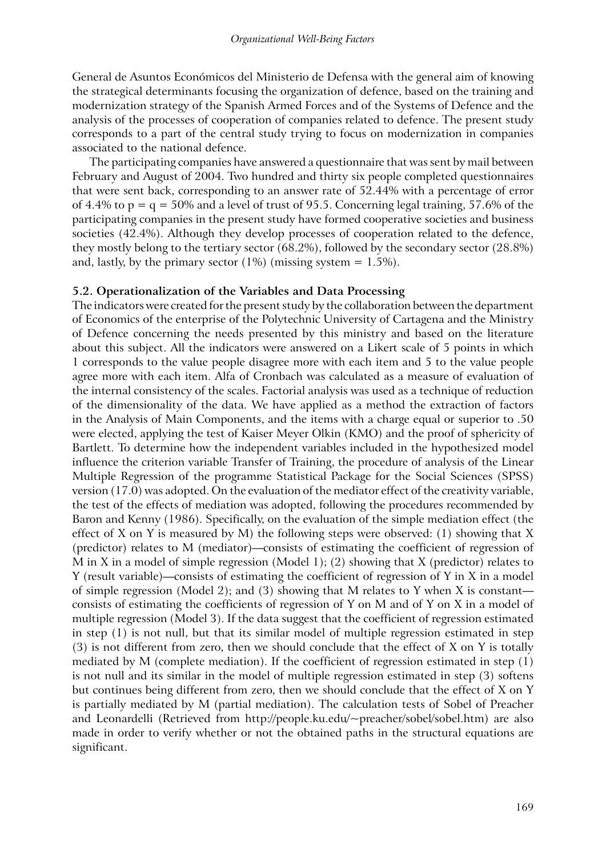General de Asuntos Económicos del Ministerio de Defensa with the general aim of knowing the strategical determinants focusing the organization of defence, based on the training and modernization strategy of the Spanish Armed Forces and of the Systems of Defence and the analysis of the processes of cooperation of companies related to defence. The present study corresponds to a part of the central study trying to focus on modernization in companies associated to the national defence.

The participating companies have answered a questionnaire that was sent by mail between February and August of 2004. Two hundred and thirty six people completed questionnaires that were sent back, corresponding to an answer rate of 52.44% with a percentage of error of 4.4% to  $p = q = 50\%$  and a level of trust of 95.5. Concerning legal training, 57.6% of the participating companies in the present study have formed cooperative societies and business societies (42.4%). Although they develop processes of cooperation related to the defence, they mostly belong to the tertiary sector (68.2%), followed by the secondary sector (28.8%) and, lastly, by the primary sector  $(1\%)$  (missing system = 1.5%).

#### **5.2. Operationalization of the Variables and Data Processing**

The indicators were created for the present study by the collaboration between the department of Economics of the enterprise of the Polytechnic University of Cartagena and the Ministry of Defence concerning the needs presented by this ministry and based on the literature about this subject. All the indicators were answered on a Likert scale of 5 points in which 1 corresponds to the value people disagree more with each item and 5 to the value people agree more with each item. Alfa of Cronbach was calculated as a measure of evaluation of the internal consistency of the scales. Factorial analysis was used as a technique of reduction of the dimensionality of the data. We have applied as a method the extraction of factors in the Analysis of Main Components, and the items with a charge equal or superior to .50 were elected, applying the test of Kaiser Meyer Olkin (KMO) and the proof of sphericity of Bartlett. To determine how the independent variables included in the hypothesized model influence the criterion variable Transfer of Training, the procedure of analysis of the Linear Multiple Regression of the programme Statistical Package for the Social Sciences (SPSS) version (17.0) was adopted. On the evaluation of the mediator effect of the creativity variable, the test of the effects of mediation was adopted, following the procedures recommended by Baron and Kenny (1986). Specifically, on the evaluation of the simple mediation effect (the effect of X on Y is measured by M) the following steps were observed: (1) showing that X (predictor) relates to M (mediator)—consists of estimating the coefficient of regression of M in X in a model of simple regression (Model 1); (2) showing that X (predictor) relates to Y (result variable)—consists of estimating the coefficient of regression of Y in X in a model of simple regression (Model 2); and (3) showing that M relates to Y when X is constant consists of estimating the coefficients of regression of Y on M and of Y on X in a model of multiple regression (Model 3). If the data suggest that the coefficient of regression estimated in step (1) is not null, but that its similar model of multiple regression estimated in step  $(3)$  is not different from zero, then we should conclude that the effect of X on Y is totally mediated by M (complete mediation). If the coefficient of regression estimated in step (1) is not null and its similar in the model of multiple regression estimated in step (3) softens but continues being different from zero, then we should conclude that the effect of X on Y is partially mediated by M (partial mediation). The calculation tests of Sobel of Preacher and Leonardelli (Retrieved from http://people.ku.edu/~preacher/sobel/sobel.htm) are also made in order to verify whether or not the obtained paths in the structural equations are significant.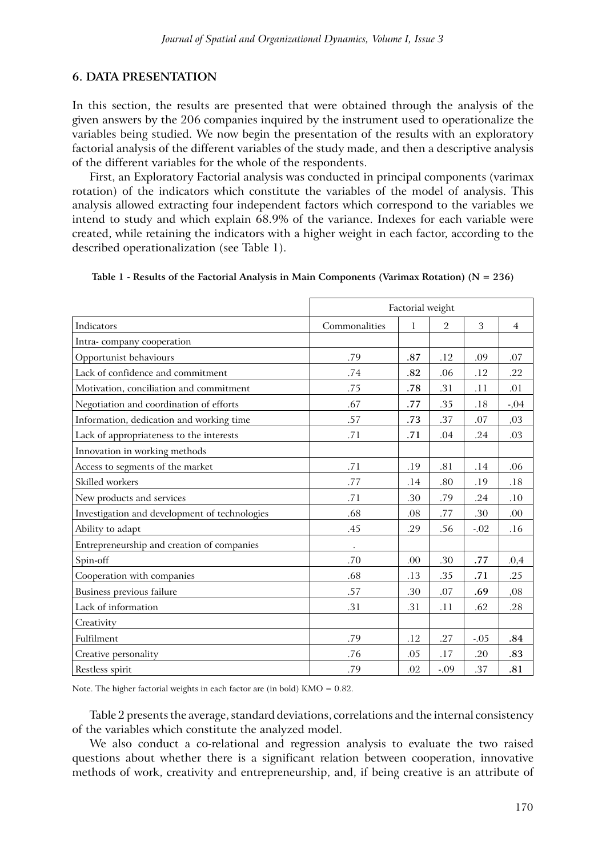# **6. DATA PRESENTATION**

In this section, the results are presented that were obtained through the analysis of the given answers by the 206 companies inquired by the instrument used to operationalize the variables being studied. We now begin the presentation of the results with an exploratory factorial analysis of the different variables of the study made, and then a descriptive analysis of the different variables for the whole of the respondents.

First, an Exploratory Factorial analysis was conducted in principal components (varimax rotation) of the indicators which constitute the variables of the model of analysis. This analysis allowed extracting four independent factors which correspond to the variables we intend to study and which explain 68.9% of the variance. Indexes for each variable were created, while retaining the indicators with a higher weight in each factor, according to the described operationalization (see Table 1).

|                                               | Factorial weight |     |                |        |                |  |
|-----------------------------------------------|------------------|-----|----------------|--------|----------------|--|
| Indicators                                    | Commonalities    | 1   | $\overline{2}$ | 3      | $\overline{4}$ |  |
| Intra-company cooperation                     |                  |     |                |        |                |  |
| Opportunist behaviours                        | .79              | .87 | .12            | .09    | .07            |  |
| Lack of confidence and commitment             | .74              | .82 | .06            | .12    | .22            |  |
| Motivation, conciliation and commitment       | .75              | .78 | .31            | .11    | .01            |  |
| Negotiation and coordination of efforts       | .67              | .77 | .35            | .18    | $-0.04$        |  |
| Information, dedication and working time      | .57              | .73 | .37            | .07    | ,03            |  |
| Lack of appropriateness to the interests      | .71              | .71 | .04            | .24    | .03            |  |
| Innovation in working methods                 |                  |     |                |        |                |  |
| Access to segments of the market              | .71              | .19 | .81            | .14    | .06            |  |
| Skilled workers                               | .77              | .14 | .80            | .19    | .18            |  |
| New products and services                     | .71              | .30 | .79            | .24    | .10            |  |
| Investigation and development of technologies | .68              | .08 | .77            | .30    | .00            |  |
| Ability to adapt                              | .45              | .29 | .56            | $-.02$ | .16            |  |
| Entrepreneurship and creation of companies    |                  |     |                |        |                |  |
| Spin-off                                      | .70              | .00 | .30            | .77    | .0,4           |  |
| Cooperation with companies                    | .68              | .13 | .35            | .71    | .25            |  |
| Business previous failure                     | .57              | .30 | .07            | .69    | ,08            |  |
| Lack of information                           | .31              | .31 | .11            | .62    | .28            |  |
| Creativity                                    |                  |     |                |        |                |  |
| <b>Fulfilment</b>                             | .79              | .12 | .27            | $-.05$ | .84            |  |
| Creative personality                          | .76              | .05 | .17            | .20    | .83            |  |
| Restless spirit                               | .79              | .02 | $-.09$         | .37    | .81            |  |

|  |  |  |  |  |  | Table 1 - Results of the Factorial Analysis in Main Components (Varimax Rotation) ( $N = 236$ ) |  |
|--|--|--|--|--|--|-------------------------------------------------------------------------------------------------|--|
|  |  |  |  |  |  |                                                                                                 |  |

Note. The higher factorial weights in each factor are (in bold) KMO = 0.82.

Table 2 presents the average, standard deviations, correlations and the internal consistency of the variables which constitute the analyzed model.

We also conduct a co-relational and regression analysis to evaluate the two raised questions about whether there is a significant relation between cooperation, innovative methods of work, creativity and entrepreneurship, and, if being creative is an attribute of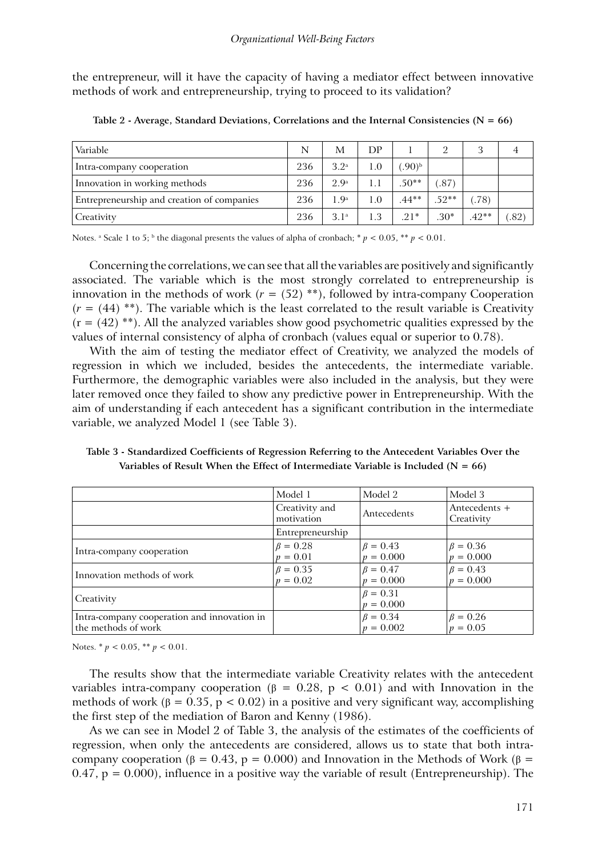the entrepreneur, will it have the capacity of having a mediator effect between innovative methods of work and entrepreneurship, trying to proceed to its validation?

| Variable                                   | N   | М                | DP  |                     |         |         |      |
|--------------------------------------------|-----|------------------|-----|---------------------|---------|---------|------|
| Intra-company cooperation                  | 236 | 3.2 <sup>a</sup> | 1.0 | $.90)$ <sup>b</sup> |         |         |      |
| Innovation in working methods              | 236 | 2.9 <sup>a</sup> |     | $.50**$             | .87     |         |      |
| Entrepreneurship and creation of companies | 236 | 1.9 <sup>a</sup> | 1.0 | $.44**$             | $.52**$ | (.78)   |      |
| Creativity                                 | 236 | 3.1 <sup>a</sup> | 1.3 | $.21*$              | $.30*$  | $.42**$ | .82) |

**Table 2 - Average, Standard Deviations, Correlations and the Internal Consistencies (N = 66)**

Notes. <sup>a</sup> Scale 1 to 5; <sup>b</sup> the diagonal presents the values of alpha of cronbach; \* *p* < 0.05, \*\* *p* < 0.01.

Concerning the correlations, we can see that all the variables are positively and significantly associated. The variable which is the most strongly correlated to entrepreneurship is innovation in the methods of work  $(r = (52)$ <sup>\*\*</sup>), followed by intra-company Cooperation  $(r = (44)$ <sup>\*\*</sup>). The variable which is the least correlated to the result variable is Creativity  $(r = (42)$ <sup>\*\*</sup>). All the analyzed variables show good psychometric qualities expressed by the values of internal consistency of alpha of cronbach (values equal or superior to 0.78).

With the aim of testing the mediator effect of Creativity, we analyzed the models of regression in which we included, besides the antecedents, the intermediate variable. Furthermore, the demographic variables were also included in the analysis, but they were later removed once they failed to show any predictive power in Entrepreneurship. With the aim of understanding if each antecedent has a significant contribution in the intermediate variable, we analyzed Model 1 (see Table 3).

**Table 3 - Standardized Coefficients of Regression Referring to the Antecedent Variables Over the Variables of Result When the Effect of Intermediate Variable is Included (N = 66)**

|                                                                    | Model 1                      | Model 2                       | Model 3                       |
|--------------------------------------------------------------------|------------------------------|-------------------------------|-------------------------------|
|                                                                    | Creativity and<br>motivation | Antecedents                   | Antecedents +<br>Creativity   |
|                                                                    | Entrepreneurship             |                               |                               |
| Intra-company cooperation                                          | $\beta = 0.28$<br>$p = 0.01$ | $\beta = 0.43$<br>$p = 0.000$ | $\beta = 0.36$<br>$p = 0.000$ |
| Innovation methods of work                                         | $\beta = 0.35$<br>$p = 0.02$ | $\beta = 0.47$<br>$p = 0.000$ | $\beta = 0.43$<br>$p = 0.000$ |
| Creativity                                                         |                              | $\beta = 0.31$<br>$p = 0.000$ |                               |
| Intra-company cooperation and innovation in<br>the methods of work |                              | $\beta = 0.34$<br>$p = 0.002$ | $\beta = 0.26$<br>$p = 0.05$  |

Notes. \* *p* < 0.05, \*\* *p* < 0.01.

The results show that the intermediate variable Creativity relates with the antecedent variables intra-company cooperation (β = 0.28, p < 0.01) and with Innovation in the methods of work ( $\beta = 0.35$ ,  $p < 0.02$ ) in a positive and very significant way, accomplishing the first step of the mediation of Baron and Kenny (1986).

As we can see in Model 2 of Table 3, the analysis of the estimates of the coefficients of regression, when only the antecedents are considered, allows us to state that both intracompany cooperation (β = 0.43, p = 0.000) and Innovation in the Methods of Work (β =  $0.47$ ,  $p = 0.000$ ), influence in a positive way the variable of result (Entrepreneurship). The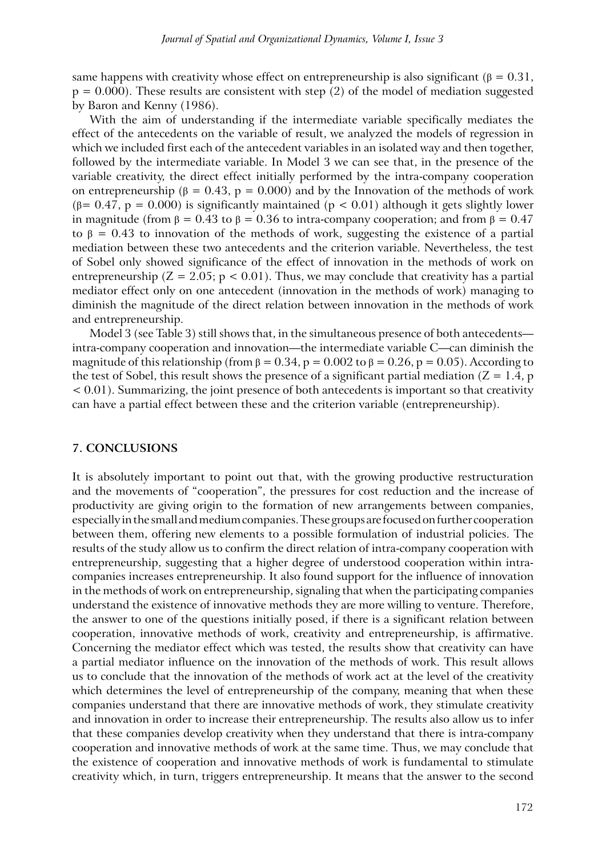same happens with creativity whose effect on entrepreneurship is also significant ( $\beta = 0.31$ ,  $p = 0.000$ ). These results are consistent with step (2) of the model of mediation suggested by Baron and Kenny (1986).

With the aim of understanding if the intermediate variable specifically mediates the effect of the antecedents on the variable of result, we analyzed the models of regression in which we included first each of the antecedent variables in an isolated way and then together, followed by the intermediate variable. In Model 3 we can see that, in the presence of the variable creativity, the direct effect initially performed by the intra-company cooperation on entrepreneurship ( $\beta = 0.43$ ,  $p = 0.000$ ) and by the Innovation of the methods of work ( $\beta$ = 0.47, p = 0.000) is significantly maintained ( $p$  < 0.01) although it gets slightly lower in magnitude (from  $\beta = 0.43$  to  $\beta = 0.36$  to intra-company cooperation; and from  $\beta = 0.47$ to  $\beta$  = 0.43 to innovation of the methods of work, suggesting the existence of a partial mediation between these two antecedents and the criterion variable. Nevertheless, the test of Sobel only showed significance of the effect of innovation in the methods of work on entrepreneurship ( $Z = 2.05$ ;  $p < 0.01$ ). Thus, we may conclude that creativity has a partial mediator effect only on one antecedent (innovation in the methods of work) managing to diminish the magnitude of the direct relation between innovation in the methods of work and entrepreneurship.

Model 3 (see Table 3) still shows that, in the simultaneous presence of both antecedents intra-company cooperation and innovation—the intermediate variable C—can diminish the magnitude of this relationship (from  $\beta = 0.34$ ,  $p = 0.002$  to  $\beta = 0.26$ ,  $p = 0.05$ ). According to the test of Sobel, this result shows the presence of a significant partial mediation ( $Z = 1.4$ , p < 0.01). Summarizing, the joint presence of both antecedents is important so that creativity can have a partial effect between these and the criterion variable (entrepreneurship).

## **7. CONCLUSIONS**

It is absolutely important to point out that, with the growing productive restructuration and the movements of "cooperation", the pressures for cost reduction and the increase of productivity are giving origin to the formation of new arrangements between companies, especially in the small and medium companies. These groups are focused on further cooperation between them, offering new elements to a possible formulation of industrial policies. The results of the study allow us to confirm the direct relation of intra-company cooperation with entrepreneurship, suggesting that a higher degree of understood cooperation within intracompanies increases entrepreneurship. It also found support for the influence of innovation in the methods of work on entrepreneurship, signaling that when the participating companies understand the existence of innovative methods they are more willing to venture. Therefore, the answer to one of the questions initially posed, if there is a significant relation between cooperation, innovative methods of work, creativity and entrepreneurship, is affirmative. Concerning the mediator effect which was tested, the results show that creativity can have a partial mediator influence on the innovation of the methods of work. This result allows us to conclude that the innovation of the methods of work act at the level of the creativity which determines the level of entrepreneurship of the company, meaning that when these companies understand that there are innovative methods of work, they stimulate creativity and innovation in order to increase their entrepreneurship. The results also allow us to infer that these companies develop creativity when they understand that there is intra-company cooperation and innovative methods of work at the same time. Thus, we may conclude that the existence of cooperation and innovative methods of work is fundamental to stimulate creativity which, in turn, triggers entrepreneurship. It means that the answer to the second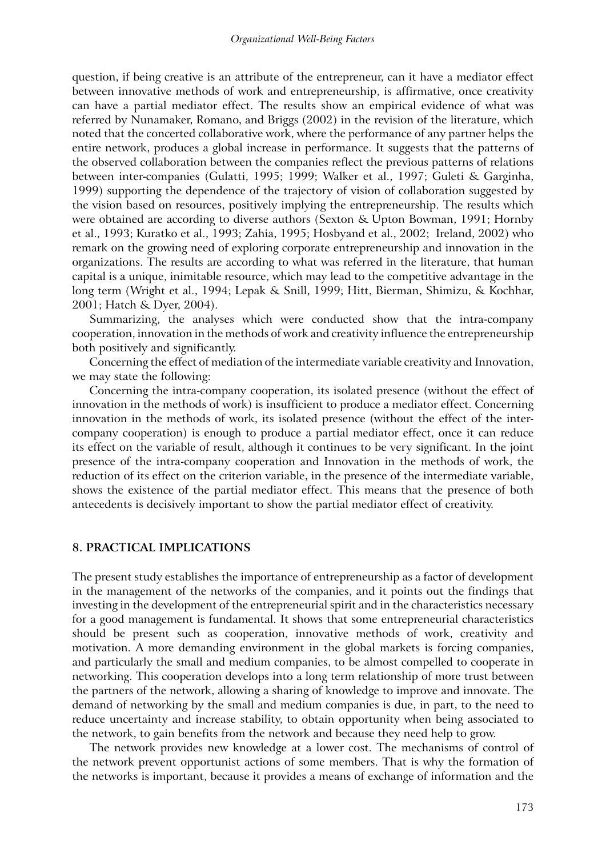question, if being creative is an attribute of the entrepreneur, can it have a mediator effect between innovative methods of work and entrepreneurship, is affirmative, once creativity can have a partial mediator effect. The results show an empirical evidence of what was referred by Nunamaker, Romano, and Briggs (2002) in the revision of the literature, which noted that the concerted collaborative work, where the performance of any partner helps the entire network, produces a global increase in performance. It suggests that the patterns of the observed collaboration between the companies reflect the previous patterns of relations between inter-companies (Gulatti, 1995; 1999; Walker et al., 1997; Guleti & Garginha, 1999) supporting the dependence of the trajectory of vision of collaboration suggested by the vision based on resources, positively implying the entrepreneurship. The results which were obtained are according to diverse authors (Sexton & Upton Bowman, 1991; Hornby et al., 1993; Kuratko et al., 1993; Zahia, 1995; Hosbyand et al., 2002; Ireland, 2002) who remark on the growing need of exploring corporate entrepreneurship and innovation in the organizations. The results are according to what was referred in the literature, that human capital is a unique, inimitable resource, which may lead to the competitive advantage in the long term (Wright et al., 1994; Lepak & Snill, 1999; Hitt, Bierman, Shimizu, & Kochhar, 2001; Hatch & Dyer, 2004).

Summarizing, the analyses which were conducted show that the intra-company cooperation, innovation in the methods of work and creativity influence the entrepreneurship both positively and significantly.

Concerning the effect of mediation of the intermediate variable creativity and Innovation, we may state the following:

Concerning the intra-company cooperation, its isolated presence (without the effect of innovation in the methods of work) is insufficient to produce a mediator effect. Concerning innovation in the methods of work, its isolated presence (without the effect of the intercompany cooperation) is enough to produce a partial mediator effect, once it can reduce its effect on the variable of result, although it continues to be very significant. In the joint presence of the intra-company cooperation and Innovation in the methods of work, the reduction of its effect on the criterion variable, in the presence of the intermediate variable, shows the existence of the partial mediator effect. This means that the presence of both antecedents is decisively important to show the partial mediator effect of creativity.

#### **8. PRACTICAL IMPLICATIONS**

The present study establishes the importance of entrepreneurship as a factor of development in the management of the networks of the companies, and it points out the findings that investing in the development of the entrepreneurial spirit and in the characteristics necessary for a good management is fundamental. It shows that some entrepreneurial characteristics should be present such as cooperation, innovative methods of work, creativity and motivation. A more demanding environment in the global markets is forcing companies, and particularly the small and medium companies, to be almost compelled to cooperate in networking. This cooperation develops into a long term relationship of more trust between the partners of the network, allowing a sharing of knowledge to improve and innovate. The demand of networking by the small and medium companies is due, in part, to the need to reduce uncertainty and increase stability, to obtain opportunity when being associated to the network, to gain benefits from the network and because they need help to grow.

The network provides new knowledge at a lower cost. The mechanisms of control of the network prevent opportunist actions of some members. That is why the formation of the networks is important, because it provides a means of exchange of information and the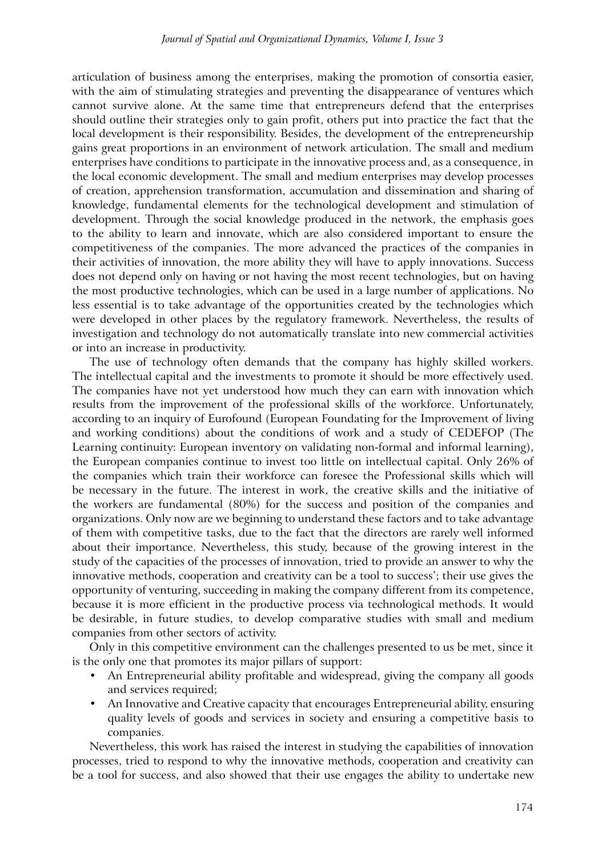articulation of business among the enterprises, making the promotion of consortia easier, with the aim of stimulating strategies and preventing the disappearance of ventures which cannot survive alone. At the same time that entrepreneurs defend that the enterprises should outline their strategies only to gain profit, others put into practice the fact that the local development is their responsibility. Besides, the development of the entrepreneurship gains great proportions in an environment of network articulation. The small and medium enterprises have conditions to participate in the innovative process and, as a consequence, in the local economic development. The small and medium enterprises may develop processes of creation, apprehension transformation, accumulation and dissemination and sharing of knowledge, fundamental elements for the technological development and stimulation of development. Through the social knowledge produced in the network, the emphasis goes to the ability to learn and innovate, which are also considered important to ensure the competitiveness of the companies. The more advanced the practices of the companies in their activities of innovation, the more ability they will have to apply innovations. Success does not depend only on having or not having the most recent technologies, but on having the most productive technologies, which can be used in a large number of applications. No less essential is to take advantage of the opportunities created by the technologies which were developed in other places by the regulatory framework. Nevertheless, the results of investigation and technology do not automatically translate into new commercial activities or into an increase in productivity.

The use of technology often demands that the company has highly skilled workers. The intellectual capital and the investments to promote it should be more effectively used. The companies have not yet understood how much they can earn with innovation which results from the improvement of the professional skills of the workforce. Unfortunately, according to an inquiry of Eurofound (European Foundating for the Improvement of living and working conditions) about the conditions of work and a study of CEDEFOP (The Learning continuity: European inventory on validating non-formal and informal learning), the European companies continue to invest too little on intellectual capital. Only 26% of the companies which train their workforce can foresee the Professional skills which will be necessary in the future. The interest in work, the creative skills and the initiative of the workers are fundamental (80%) for the success and position of the companies and organizations. Only now are we beginning to understand these factors and to take advantage of them with competitive tasks, due to the fact that the directors are rarely well informed about their importance. Nevertheless, this study, because of the growing interest in the study of the capacities of the processes of innovation, tried to provide an answer to why the innovative methods, cooperation and creativity can be a tool to success'; their use gives the opportunity of venturing, succeeding in making the company different from its competence, because it is more efficient in the productive process via technological methods. It would be desirable, in future studies, to develop comparative studies with small and medium companies from other sectors of activity.

Only in this competitive environment can the challenges presented to us be met, since it is the only one that promotes its major pillars of support:

- An Entrepreneurial ability profitable and widespread, giving the company all goods and services required;
- An Innovative and Creative capacity that encourages Entrepreneurial ability, ensuring quality levels of goods and services in society and ensuring a competitive basis to companies.

Nevertheless, this work has raised the interest in studying the capabilities of innovation processes, tried to respond to why the innovative methods, cooperation and creativity can be a tool for success, and also showed that their use engages the ability to undertake new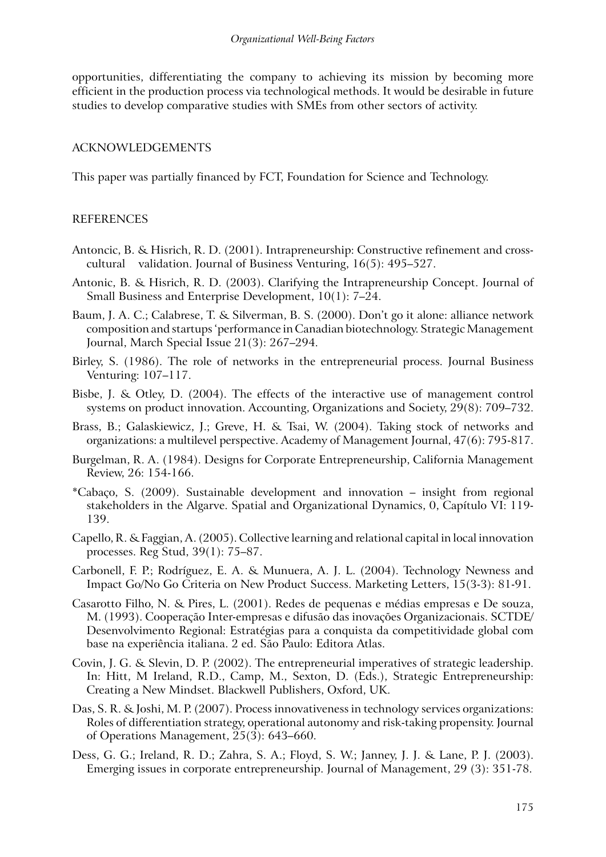opportunities, differentiating the company to achieving its mission by becoming more efficient in the production process via technological methods. It would be desirable in future studies to develop comparative studies with SMEs from other sectors of activity.

## ACKNOWLEDGEMENTS

This paper was partially financed by FCT, Foundation for Science and Technology.

## REFERENCES

- Antoncic, B. & Hisrich, R. D. (2001). Intrapreneurship: Constructive refinement and crosscultural validation. Journal of Business Venturing, 16(5): 495–527.
- Antonic, B. & Hisrich, R. D. (2003). Clarifying the Intrapreneurship Concept. Journal of Small Business and Enterprise Development, 10(1): 7–24.
- Baum, J. A. C.; Calabrese, T. & Silverman, B. S. (2000). Don't go it alone: alliance network composition and startups 'performance in Canadian biotechnology. Strategic Management Journal, March Special Issue 21(3): 267–294.
- Birley, S. (1986). The role of networks in the entrepreneurial process. Journal Business Venturing: 107–117.
- Bisbe, J. & Otley, D. (2004). The effects of the interactive use of management control systems on product innovation. Accounting, Organizations and Society, 29(8): 709–732.
- Brass, B.; Galaskiewicz, J.; Greve, H. & Tsai, W. (2004). Taking stock of networks and organizations: a multilevel perspective. Academy of Management Journal, 47(6): 795-817.
- Burgelman, R. A. (1984). Designs for Corporate Entrepreneurship, California Management Review, 26: 154-166.
- \*Cabaço, S. (2009). Sustainable development and innovation insight from regional stakeholders in the Algarve. Spatial and Organizational Dynamics, 0, Capítulo VI: 119- 139.
- Capello, R. & Faggian, A. (2005). Collective learning and relational capital in local innovation processes. Reg Stud, 39(1): 75–87.
- Carbonell, F. P.; Rodríguez, E. A. & Munuera, A. J. L. (2004). Technology Newness and Impact Go/No Go Criteria on New Product Success. Marketing Letters, 15(3-3): 81-91.
- Casarotto Filho, N. & Pires, L. (2001). Redes de pequenas e médias empresas e De souza, M. (1993). Cooperação Inter-empresas e difusão das inovações Organizacionais. SCTDE/ Desenvolvimento Regional: Estratégias para a conquista da competitividade global com base na experiência italiana. 2 ed. São Paulo: Editora Atlas.
- Covin, J. G. & Slevin, D. P. (2002). The entrepreneurial imperatives of strategic leadership. In: Hitt, M Ireland, R.D., Camp, M., Sexton, D. (Eds.), Strategic Entrepreneurship: Creating a New Mindset. Blackwell Publishers, Oxford, UK.
- Das, S. R. & Joshi, M. P. (2007). Process innovativeness in technology services organizations: Roles of differentiation strategy, operational autonomy and risk-taking propensity. Journal of Operations Management, 25(3): 643–660.
- Dess, G. G.; Ireland, R. D.; Zahra, S. A.; Floyd, S. W.; Janney, J. J. & Lane, P. J. (2003). Emerging issues in corporate entrepreneurship. Journal of Management, 29 (3): 351-78.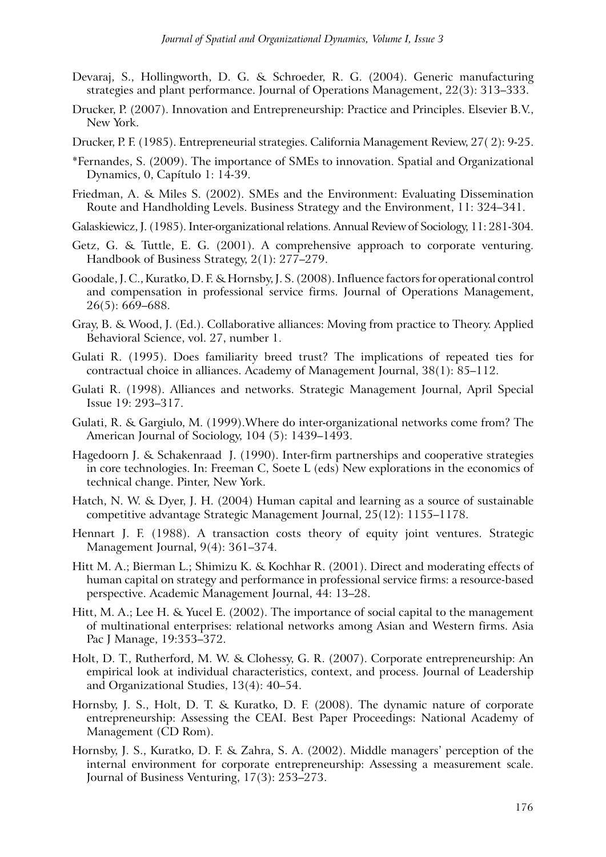- Devaraj, S., Hollingworth, D. G. & Schroeder, R. G. (2004). Generic manufacturing strategies and plant performance. Journal of Operations Management, 22(3): 313–333.
- Drucker, P. (2007). Innovation and Entrepreneurship: Practice and Principles. Elsevier B.V., New York.
- Drucker, P. F. (1985). Entrepreneurial strategies. California Management Review, 27( 2): 9-25.
- \*Fernandes, S. (2009). The importance of SMEs to innovation. Spatial and Organizational Dynamics, 0, Capítulo 1: 14-39.
- Friedman, A. & Miles S. (2002). SMEs and the Environment: Evaluating Dissemination Route and Handholding Levels. Business Strategy and the Environment, 11: 324–341.
- Galaskiewicz, J. (1985). Inter-organizational relations. Annual Review of Sociology, 11: 281-304.
- Getz, G. & Tuttle, E. G. (2001). A comprehensive approach to corporate venturing. Handbook of Business Strategy, 2(1): 277–279.
- Goodale, J. C., Kuratko, D. F. & Hornsby, J. S. (2008). Influence factors for operational control and compensation in professional service firms. Journal of Operations Management, 26(5): 669–688.
- Gray, B. & Wood, J. (Ed.). Collaborative alliances: Moving from practice to Theory. Applied Behavioral Science, vol. 27, number 1.
- Gulati R. (1995). Does familiarity breed trust? The implications of repeated ties for contractual choice in alliances. Academy of Management Journal, 38(1): 85–112.
- Gulati R. (1998). Alliances and networks. Strategic Management Journal, April Special Issue 19: 293–317.
- Gulati, R. & Gargiulo, M. (1999).Where do inter-organizational networks come from? The American Journal of Sociology, 104 (5): 1439–1493.
- Hagedoorn J. & Schakenraad J. (1990). Inter-firm partnerships and cooperative strategies in core technologies. In: Freeman C, Soete L (eds) New explorations in the economics of technical change. Pinter, New York.
- Hatch, N. W. & Dyer, J. H. (2004) Human capital and learning as a source of sustainable competitive advantage Strategic Management Journal, 25(12): 1155–1178.
- Hennart J. F. (1988). A transaction costs theory of equity joint ventures. Strategic Management Journal, 9(4): 361–374.
- Hitt M. A.; Bierman L.; Shimizu K. & Kochhar R. (2001). Direct and moderating effects of human capital on strategy and performance in professional service firms: a resource-based perspective. Academic Management Journal, 44: 13–28.
- Hitt, M. A.; Lee H. & Yucel E. (2002). The importance of social capital to the management of multinational enterprises: relational networks among Asian and Western firms. Asia Pac J Manage, 19:353–372.
- Holt, D. T., Rutherford, M. W. & Clohessy, G. R. (2007). Corporate entrepreneurship: An empirical look at individual characteristics, context, and process. Journal of Leadership and Organizational Studies, 13(4): 40–54.
- Hornsby, J. S., Holt, D. T. & Kuratko, D. F. (2008). The dynamic nature of corporate entrepreneurship: Assessing the CEAI. Best Paper Proceedings: National Academy of Management (CD Rom).
- Hornsby, J. S., Kuratko, D. F. & Zahra, S. A. (2002). Middle managers' perception of the internal environment for corporate entrepreneurship: Assessing a measurement scale. Journal of Business Venturing, 17(3): 253–273.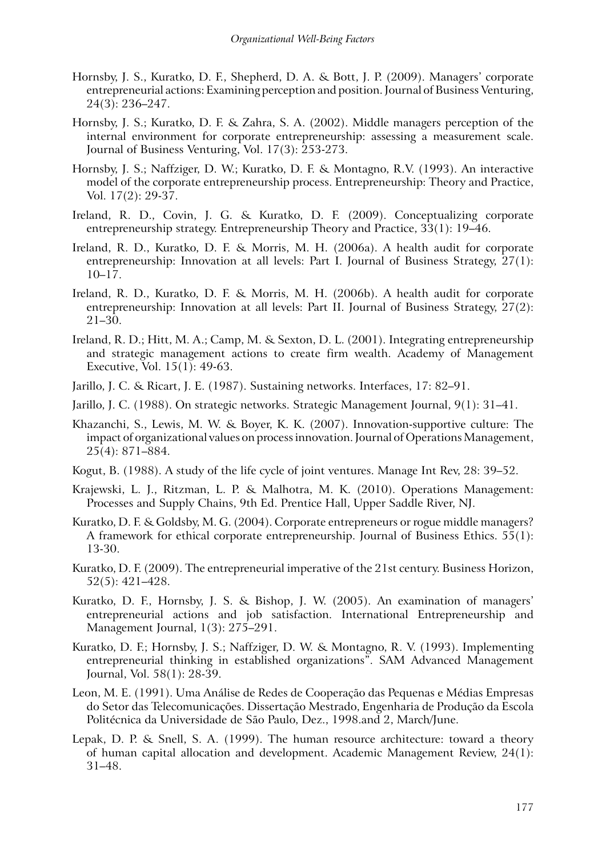- Hornsby, J. S., Kuratko, D. F., Shepherd, D. A. & Bott, J. P. (2009). Managers' corporate entrepreneurial actions: Examining perception and position. Journal of Business Venturing, 24(3): 236–247.
- Hornsby, J. S.; Kuratko, D. F. & Zahra, S. A. (2002). Middle managers perception of the internal environment for corporate entrepreneurship: assessing a measurement scale. Journal of Business Venturing, Vol. 17(3): 253-273.
- Hornsby, J. S.; Naffziger, D. W.; Kuratko, D. F. & Montagno, R.V. (1993). An interactive model of the corporate entrepreneurship process. Entrepreneurship: Theory and Practice, Vol. 17(2): 29-37.
- Ireland, R. D., Covin, J. G. & Kuratko, D. F. (2009). Conceptualizing corporate entrepreneurship strategy. Entrepreneurship Theory and Practice, 33(1): 19–46.
- Ireland, R. D., Kuratko, D. F. & Morris, M. H. (2006a). A health audit for corporate entrepreneurship: Innovation at all levels: Part I. Journal of Business Strategy, 27(1): 10–17.
- Ireland, R. D., Kuratko, D. F. & Morris, M. H. (2006b). A health audit for corporate entrepreneurship: Innovation at all levels: Part II. Journal of Business Strategy, 27(2): 21–30.
- Ireland, R. D.; Hitt, M. A.; Camp, M. & Sexton, D. L. (2001). Integrating entrepreneurship and strategic management actions to create firm wealth. Academy of Management Executive, Vol. 15(1): 49-63.
- Jarillo, J. C. & Ricart, J. E. (1987). Sustaining networks. Interfaces, 17: 82–91.
- Jarillo, J. C. (1988). On strategic networks. Strategic Management Journal, 9(1): 31–41.
- Khazanchi, S., Lewis, M. W. & Boyer, K. K. (2007). Innovation-supportive culture: The impact of organizational values on process innovation. Journal of Operations Management, 25(4): 871–884.
- Kogut, B. (1988). A study of the life cycle of joint ventures. Manage Int Rev, 28: 39–52.
- Krajewski, L. J., Ritzman, L. P. & Malhotra, M. K. (2010). Operations Management: Processes and Supply Chains, 9th Ed. Prentice Hall, Upper Saddle River, NJ.
- Kuratko, D. F. & Goldsby, M. G. (2004). Corporate entrepreneurs or rogue middle managers? A framework for ethical corporate entrepreneurship. Journal of Business Ethics. 55(1): 13-30.
- Kuratko, D. F. (2009). The entrepreneurial imperative of the 21st century. Business Horizon, 52(5): 421–428.
- Kuratko, D. F., Hornsby, J. S. & Bishop, J. W. (2005). An examination of managers' entrepreneurial actions and job satisfaction. International Entrepreneurship and Management Journal, 1(3): 275–291.
- Kuratko, D. F.; Hornsby, J. S.; Naffziger, D. W. & Montagno, R. V. (1993). Implementing entrepreneurial thinking in established organizations". SAM Advanced Management Journal, Vol. 58(1): 28-39.
- Leon, M. E. (1991). Uma Análise de Redes de Cooperação das Pequenas e Médias Empresas do Setor das Telecomunicações. Dissertação Mestrado, Engenharia de Produção da Escola Politécnica da Universidade de São Paulo, Dez., 1998.and 2, March/June.
- Lepak, D. P. & Snell, S. A. (1999). The human resource architecture: toward a theory of human capital allocation and development. Academic Management Review, 24(1): 31–48.